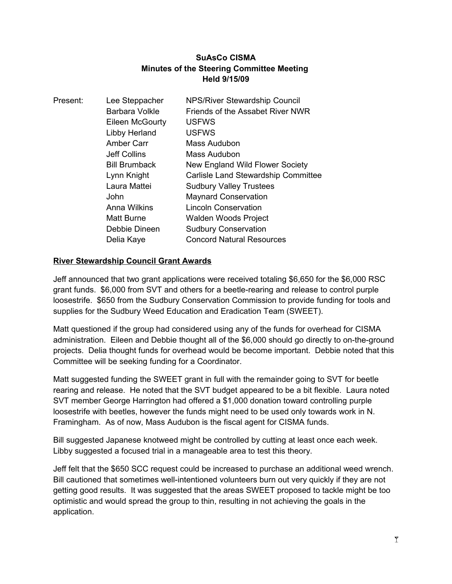## **SuAsCo CISMA Minutes of the Steering Committee Meeting Held 9/15/09**

| Present: | Lee Steppacher       | NPS/River Stewardship Council       |
|----------|----------------------|-------------------------------------|
|          | Barbara Volkle       | Friends of the Assabet River NWR    |
|          | Eileen McGourty      | <b>USFWS</b>                        |
|          | Libby Herland        | <b>USFWS</b>                        |
|          | Amber Carr           | Mass Audubon                        |
|          | Jeff Collins         | Mass Audubon                        |
|          | <b>Bill Brumback</b> | New England Wild Flower Society     |
|          | Lynn Knight          | Carlisle Land Stewardship Committee |
|          | Laura Mattei         | <b>Sudbury Valley Trustees</b>      |
|          | John                 | <b>Maynard Conservation</b>         |
|          | Anna Wilkins         | <b>Lincoln Conservation</b>         |
|          | Matt Burne           | Walden Woods Project                |
|          | Debbie Dineen        | <b>Sudbury Conservation</b>         |
|          | Delia Kaye           | <b>Concord Natural Resources</b>    |

### **River Stewardship Council Grant Awards**

Jeff announced that two grant applications were received totaling \$6,650 for the \$6,000 RSC grant funds. \$6,000 from SVT and others for a beetle-rearing and release to control purple loosestrife. \$650 from the Sudbury Conservation Commission to provide funding for tools and supplies for the Sudbury Weed Education and Eradication Team (SWEET).

Matt questioned if the group had considered using any of the funds for overhead for CISMA administration. Eileen and Debbie thought all of the \$6,000 should go directly to on-the-ground projects. Delia thought funds for overhead would be become important. Debbie noted that this Committee will be seeking funding for a Coordinator.

Matt suggested funding the SWEET grant in full with the remainder going to SVT for beetle rearing and release. He noted that the SVT budget appeared to be a bit flexible. Laura noted SVT member George Harrington had offered a \$1,000 donation toward controlling purple loosestrife with beetles, however the funds might need to be used only towards work in N. Framingham. As of now, Mass Audubon is the fiscal agent for CISMA funds.

Bill suggested Japanese knotweed might be controlled by cutting at least once each week. Libby suggested a focused trial in a manageable area to test this theory.

Jeff felt that the \$650 SCC request could be increased to purchase an additional weed wrench. Bill cautioned that sometimes well-intentioned volunteers burn out very quickly if they are not getting good results. It was suggested that the areas SWEET proposed to tackle might be too optimistic and would spread the group to thin, resulting in not achieving the goals in the application.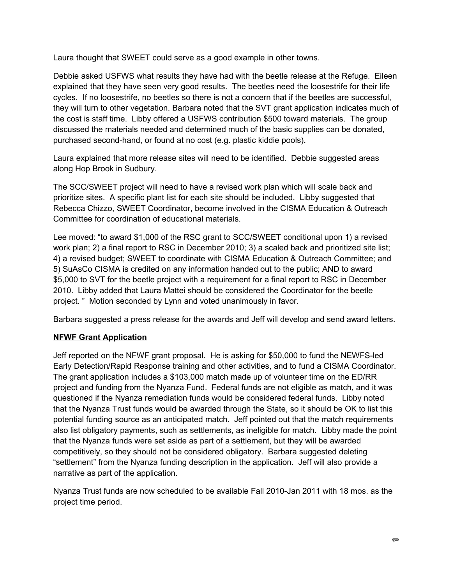Laura thought that SWEET could serve as a good example in other towns.

Debbie asked USFWS what results they have had with the beetle release at the Refuge. Eileen explained that they have seen very good results. The beetles need the loosestrife for their life cycles. If no loosestrife, no beetles so there is not a concern that if the beetles are successful, they will turn to other vegetation. Barbara noted that the SVT grant application indicates much of the cost is staff time. Libby offered a USFWS contribution \$500 toward materials. The group discussed the materials needed and determined much of the basic supplies can be donated, purchased second-hand, or found at no cost (e.g. plastic kiddie pools).

Laura explained that more release sites will need to be identified. Debbie suggested areas along Hop Brook in Sudbury.

The SCC/SWEET project will need to have a revised work plan which will scale back and prioritize sites. A specific plant list for each site should be included. Libby suggested that Rebecca Chizzo, SWEET Coordinator, become involved in the CISMA Education & Outreach Committee for coordination of educational materials.

Lee moved: "to award \$1,000 of the RSC grant to SCC/SWEET conditional upon 1) a revised work plan; 2) a final report to RSC in December 2010; 3) a scaled back and prioritized site list; 4) a revised budget; SWEET to coordinate with CISMA Education & Outreach Committee; and 5) SuAsCo CISMA is credited on any information handed out to the public; AND to award \$5,000 to SVT for the beetle project with a requirement for a final report to RSC in December 2010. Libby added that Laura Mattei should be considered the Coordinator for the beetle project. " Motion seconded by Lynn and voted unanimously in favor.

Barbara suggested a press release for the awards and Jeff will develop and send award letters.

### **NFWF Grant Application**

Jeff reported on the NFWF grant proposal. He is asking for \$50,000 to fund the NEWFS-led Early Detection/Rapid Response training and other activities, and to fund a CISMA Coordinator. The grant application includes a \$103,000 match made up of volunteer time on the ED/RR project and funding from the Nyanza Fund. Federal funds are not eligible as match, and it was questioned if the Nyanza remediation funds would be considered federal funds. Libby noted that the Nyanza Trust funds would be awarded through the State, so it should be OK to list this potential funding source as an anticipated match. Jeff pointed out that the match requirements also list obligatory payments, such as settlements, as ineligible for match. Libby made the point that the Nyanza funds were set aside as part of a settlement, but they will be awarded competitively, so they should not be considered obligatory. Barbara suggested deleting "settlement" from the Nyanza funding description in the application. Jeff will also provide a narrative as part of the application.

Nyanza Trust funds are now scheduled to be available Fall 2010-Jan 2011 with 18 mos. as the project time period.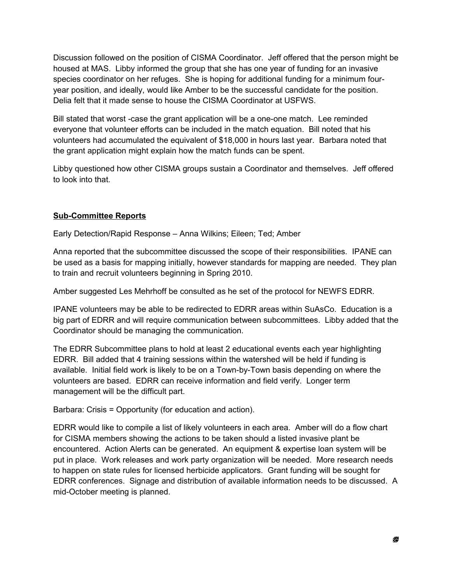Discussion followed on the position of CISMA Coordinator. Jeff offered that the person might be housed at MAS. Libby informed the group that she has one year of funding for an invasive species coordinator on her refuges. She is hoping for additional funding for a minimum fouryear position, and ideally, would like Amber to be the successful candidate for the position. Delia felt that it made sense to house the CISMA Coordinator at USFWS.

Bill stated that worst -case the grant application will be a one-one match. Lee reminded everyone that volunteer efforts can be included in the match equation. Bill noted that his volunteers had accumulated the equivalent of \$18,000 in hours last year. Barbara noted that the grant application might explain how the match funds can be spent.

Libby questioned how other CISMA groups sustain a Coordinator and themselves. Jeff offered to look into that.

# **Sub-Committee Reports**

Early Detection/Rapid Response – Anna Wilkins; Eileen; Ted; Amber

Anna reported that the subcommittee discussed the scope of their responsibilities. IPANE can be used as a basis for mapping initially, however standards for mapping are needed. They plan to train and recruit volunteers beginning in Spring 2010.

Amber suggested Les Mehrhoff be consulted as he set of the protocol for NEWFS EDRR.

IPANE volunteers may be able to be redirected to EDRR areas within SuAsCo. Education is a big part of EDRR and will require communication between subcommittees. Libby added that the Coordinator should be managing the communication.

The EDRR Subcommittee plans to hold at least 2 educational events each year highlighting EDRR. Bill added that 4 training sessions within the watershed will be held if funding is available. Initial field work is likely to be on a Town-by-Town basis depending on where the volunteers are based. EDRR can receive information and field verify. Longer term management will be the difficult part.

Barbara: Crisis = Opportunity (for education and action).

EDRR would like to compile a list of likely volunteers in each area. Amber will do a flow chart for CISMA members showing the actions to be taken should a listed invasive plant be encountered. Action Alerts can be generated. An equipment & expertise loan system will be put in place. Work releases and work party organization will be needed. More research needs to happen on state rules for licensed herbicide applicators. Grant funding will be sought for EDRR conferences. Signage and distribution of available information needs to be discussed. A mid-October meeting is planned.